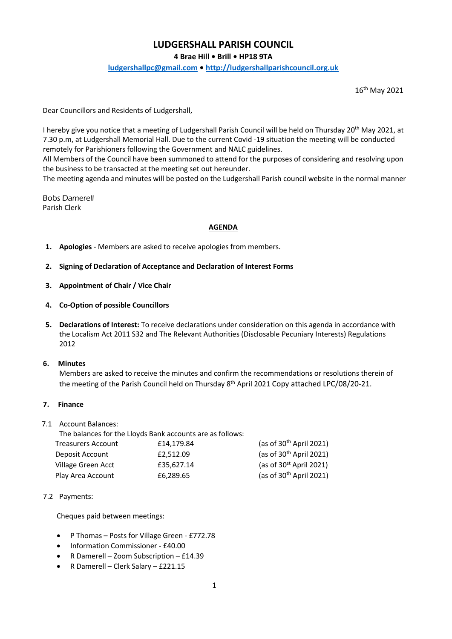# **LUDGERSHALL PARISH COUNCIL**

**4 Brae Hill • Brill • HP18 9TA**

# **[ludgershallpc@gmail.com](mailto:ludgershallpc@gmail.com) • [http://ludgershallparishcouncil.org.uk](http://ludgershallparishcouncil.org.uk/)**

16th May 2021

Dear Councillors and Residents of Ludgershall,

I hereby give you notice that a meeting of Ludgershall Parish Council will be held on Thursday 20th May 2021, at 7.30 p.m, at Ludgershall Memorial Hall. Due to the current Covid -19 situation the meeting will be conducted remotely for Parishioners following the Government and NALC guidelines.

All Members of the Council have been summoned to attend for the purposes of considering and resolving upon the business to be transacted at the meeting set out hereunder.

The meeting agenda and minutes will be posted on the Ludgershall Parish council website in the normal manner

Bobs Damerell Parish Clerk

### **AGENDA**

**1. Apologies** - Members are asked to receive apologies from members.

**2. Signing of Declaration of Acceptance and Declaration of Interest Forms**

- **3. Appointment of Chair / Vice Chair**
- **4. Co-Option of possible Councillors**
- **5. Declarations of Interest:** To receive declarations under consideration on this agenda in accordance with the Localism Act 2011 S32 and The Relevant Authorities (Disclosable Pecuniary Interests) Regulations 2012

### **6. Minutes**

Members are asked to receive the minutes and confirm the recommendations or resolutions therein of the meeting of the Parish Council held on Thursday 8<sup>th</sup> April 2021 Copy attached LPC/08/20-21.

### **7. Finance**

7.1 Account Balances:

The balances for the Lloyds Bank accounts are as follows: Treasurers Account **£14,179.84** (as of  $30<sup>th</sup>$  April 2021) Deposit Account 62,512.09 (as of  $30<sup>th</sup>$  April 2021) Village Green Acct 635,627.14 (as of  $30<sup>st</sup>$  April 2021) Play Area Account 66,289.65 (as of  $30<sup>th</sup>$  April 2021)

7.2 Payments:

Cheques paid between meetings:

- P Thomas Posts for Village Green £772.78
- Information Commissioner £40.00
- R Damerell Zoom Subscription £14.39
- R Damerell Clerk Salary £221.15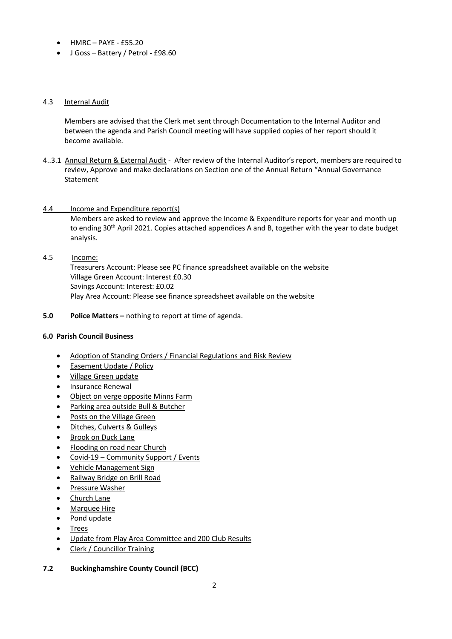- $\bullet$  HMRC PAYE £55.20
- J Goss Battery / Petrol £98.60

### 4.3 Internal Audit

Members are advised that the Clerk met sent through Documentation to the Internal Auditor and between the agenda and Parish Council meeting will have supplied copies of her report should it become available.

4..3.1 Annual Return & External Audit - After review of the Internal Auditor's report, members are required to review, Approve and make declarations on Section one of the Annual Return "Annual Governance Statement

### 4.4 Income and Expenditure report(s)

Members are asked to review and approve the Income & Expenditure reports for year and month up to ending 30<sup>th</sup> April 2021. Copies attached appendices A and B, together with the year to date budget analysis.

# 4.5 Income:

Treasurers Account: Please see PC finance spreadsheet available on the website Village Green Account: Interest £0.30 Savings Account: Interest: £0.02 Play Area Account: Please see finance spreadsheet available on the website

**5.0 Police Matters –** nothing to report at time of agenda.

# **6.0 Parish Council Business**

- Adoption of Standing Orders / Financial Regulations and Risk Review
- Easement Update / Policy
- Village Green update
- Insurance Renewal
- Object on verge opposite Minns Farm
- Parking area outside Bull & Butcher
- Posts on the Village Green
- Ditches, Culverts & Gulleys
- Brook on Duck Lane
- Flooding on road near Church
- Covid-19 Community Support / Events
- Vehicle Management Sign
- Railway Bridge on Brill Road
- Pressure Washer
- Church Lane
- Marquee Hire
- Pond update
- **Trees**
- Update from Play Area Committee and 200 Club Results
- Clerk / Councillor Training

### **7.2 Buckinghamshire County Council (BCC)**